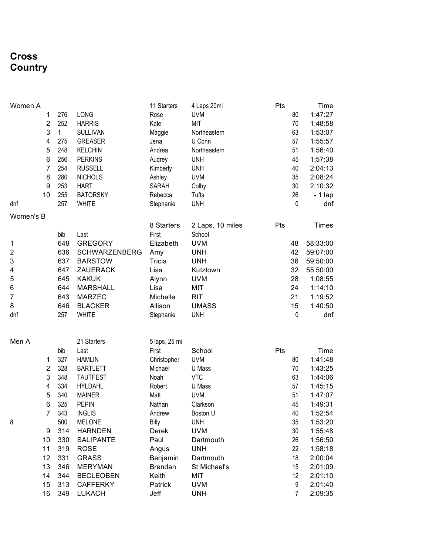### **Cross Country**

| Women A                 |                |     |                      | 11 Starters    | 4 Laps 20mi      | Pts |                | Time         |
|-------------------------|----------------|-----|----------------------|----------------|------------------|-----|----------------|--------------|
|                         | 1              | 276 | LONG                 | Rose           | <b>UVM</b>       |     | 80             | 1:47:27      |
|                         | $\overline{2}$ | 252 | <b>HARRIS</b>        | Kate           | <b>MIT</b>       |     | 70             | 1:48:58      |
|                         | 3              | 1   | <b>SULLIVAN</b>      | Maggie         | Northeastern     |     | 63             | 1:53:07      |
|                         | 4              | 275 | <b>GREASER</b>       | Jena           | U Conn           |     | 57             | 1:55:57      |
|                         | 5              | 248 | <b>KELCHIN</b>       | Andrea         | Northeastern     |     | 51             | 1:56:40      |
|                         | 6              | 256 | <b>PERKINS</b>       | Audrey         | <b>UNH</b>       |     | 45             | 1:57:38      |
|                         | $\overline{7}$ | 254 | <b>RUSSELL</b>       | Kimberly       | <b>UNH</b>       |     | 40             | 2:04:13      |
|                         | 8              | 280 | <b>NICHOLS</b>       | Ashley         | <b>UVM</b>       |     | 35             | 2:08:24      |
|                         | 9              | 253 | <b>HART</b>          | SARAH          | Colby            |     | 30             | 2:10:32      |
|                         | 10             | 255 | <b>BATORSKY</b>      | Rebecca        | Tufts            |     | 26             | - 1 lap      |
| dnf                     |                | 257 | <b>WHITE</b>         | Stephanie      | <b>UNH</b>       |     | $\mathbf{0}$   | dnf          |
| Women's B               |                |     |                      |                |                  |     |                |              |
|                         |                |     |                      | 8 Starters     | 2 Laps, 10 miles | Pts |                | <b>Times</b> |
|                         |                | bib | Last                 | First          | School           |     |                |              |
| 1                       |                | 648 | <b>GREGORY</b>       | Elizabeth      | <b>UVM</b>       |     | 48             | 58:33:00     |
| $\overline{\mathbf{c}}$ |                | 636 | <b>SCHWARZENBERG</b> | Amy            | <b>UNH</b>       |     | 42             | 59:07:00     |
| 3                       |                | 637 | <b>BARSTOW</b>       | Tricia         | <b>UNH</b>       |     | 36             | 59:50:00     |
| 4                       |                | 647 | ZAUERACK             | Lisa           | Kutztown         |     | 32             | 55:50:00     |
| 5                       |                | 645 | <b>KAKUK</b>         | Alynn          | <b>UVM</b>       |     | 28             | 1:08:55      |
| 6                       |                | 644 | <b>MARSHALL</b>      | Lisa           | MIT              |     | 24             | 1:14:10      |
| 7                       |                | 643 | <b>MARZEC</b>        | Michelle       | <b>RIT</b>       |     | 21             | 1:19:52      |
| 8                       |                | 646 | <b>BLACKER</b>       | Allison        | <b>UMASS</b>     |     | 15             | 1:40:50      |
| dnf                     |                | 257 | <b>WHITE</b>         | Stephanie      | <b>UNH</b>       |     | $\mathbf 0$    | dnf          |
|                         |                |     |                      |                |                  |     |                |              |
|                         |                |     |                      |                |                  |     |                |              |
| Men A                   |                |     | 21 Starters          | 5 laps, 25 mi  |                  |     |                |              |
|                         |                | bib | Last                 | First          | School           | Pts |                | Time         |
|                         | 1              | 327 | <b>HAMLIN</b>        | Christopher    | <b>UVM</b>       |     | 80             | 1:41:48      |
|                         | $\overline{2}$ | 328 | <b>BARTLETT</b>      | Michael        | U Mass           |     | 70             | 1:43:25      |
|                         | 3              | 348 | <b>TAUTFEST</b>      | Noah           | <b>VTC</b>       |     | 63             | 1:44:06      |
|                         | 4              | 334 | <b>HYLDAHL</b>       | Robert         | U Mass           |     | 57             | 1:45:15      |
|                         | 5              | 340 | <b>MAINER</b>        | Matt           | <b>UVM</b>       |     | 51             | 1:47:07      |
|                         | 6              | 325 | <b>PEPIN</b>         | Nathan         | Clarkson         |     | 45             | 1:49:31      |
|                         | $\overline{7}$ | 343 | <b>INGLIS</b>        | Andrew         | Boston U         |     | 40             | 1:52:54      |
| 8                       |                | 500 | <b>MELONE</b>        | Billy          | <b>UNH</b>       |     | 35             | 1:53:20      |
|                         | 9              | 314 | <b>HARNDEN</b>       | Derek          | <b>UVM</b>       |     | 30             | 1:55:48      |
|                         | 10             | 330 | <b>SALIPANTE</b>     | Paul           | Dartmouth        |     | 26             | 1:56:50      |
|                         | 11             | 319 | <b>ROSE</b>          | Angus          | <b>UNH</b>       |     | 22             | 1:58:18      |
|                         | 12             | 331 | <b>GRASS</b>         | Benjamin       | Dartmouth        |     | 18             | 2:00:04      |
|                         | 13             | 346 | <b>MERYMAN</b>       | <b>Brendan</b> | St Michael's     |     | 15             | 2:01:09      |
|                         | 14             | 344 | <b>BECLEOBEN</b>     | Keith          | MIT              |     | 12             | 2:01:10      |
|                         | 15             | 313 | <b>CAFFERKY</b>      | Patrick        | <b>UVM</b>       |     | 9              | 2:01:40      |
|                         | 16             | 349 | <b>LUKACH</b>        | Jeff           | <b>UNH</b>       |     | $\overline{7}$ | 2:09:35      |
|                         |                |     |                      |                |                  |     |                |              |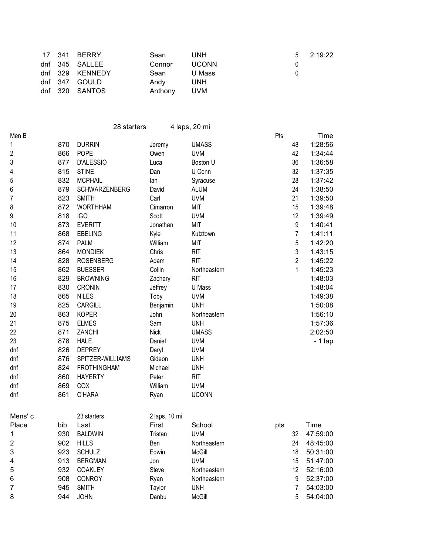|  | 17 341 BERRY    | Sean    | <b>UNH</b>   |              | $5$ 2:19:22 |
|--|-----------------|---------|--------------|--------------|-------------|
|  | dnf 345 SALLEE  | Connor  | <b>UCONN</b> |              |             |
|  | dnf 329 KENNEDY | Sean    | U Mass       | $\mathbf{0}$ |             |
|  | dnf 347 GOULD   | Andv    | <b>UNH</b>   |              |             |
|  | dnf 320 SANTOS  | Anthony | UVM          |              |             |

|                         |     | 28 starters        |               | 4 laps, 20 mi |     |                |          |
|-------------------------|-----|--------------------|---------------|---------------|-----|----------------|----------|
| Men B                   |     |                    |               |               | Pts |                | Time     |
| 1                       | 870 | <b>DURRIN</b>      | Jeremy        | <b>UMASS</b>  |     | 48             | 1:28:56  |
| $\overline{c}$          | 866 | <b>POPE</b>        | Owen          | <b>UVM</b>    |     | 42             | 1:34:44  |
| $\sqrt{3}$              | 877 | D'ALESSIO          | Luca          | Boston U      |     | 36             | 1:36:58  |
| 4                       | 815 | <b>STINE</b>       | Dan           | U Conn        |     | 32             | 1:37:35  |
| 5                       | 832 | <b>MCPHAIL</b>     | lan           | Syracuse      |     | 28             | 1:37:42  |
| 6                       | 879 | SCHWARZENBERG      | David         | <b>ALUM</b>   |     | 24             | 1:38:50  |
| $\overline{7}$          | 823 | <b>SMITH</b>       | Carl          | <b>UVM</b>    |     | 21             | 1:39:50  |
| 8                       | 872 | <b>WORTHHAM</b>    | Cimarron      | <b>MIT</b>    |     | 15             | 1:39:48  |
| $\boldsymbol{9}$        | 818 | IGO                | Scott         | <b>UVM</b>    |     | 12             | 1:39:49  |
| 10                      | 873 | <b>EVERITT</b>     | Jonathan      | MIT           |     | 9              | 1:40:41  |
| 11                      | 868 | <b>EBELING</b>     | Kyle          | Kutztown      |     | 7              | 1:41:11  |
| 12                      | 874 | <b>PALM</b>        | William       | MIT           |     | 5              | 1:42:20  |
| 13                      | 864 | <b>MONDIEK</b>     | Chris         | <b>RIT</b>    |     | 3              | 1:43:15  |
| 14                      | 828 | <b>ROSENBERG</b>   | Adam          | <b>RIT</b>    |     | $\overline{2}$ | 1:45:22  |
| 15                      | 862 | <b>BUESSER</b>     | Collin        | Northeastern  |     | 1              | 1:45:23  |
| 16                      | 829 | <b>BROWNING</b>    | Zachary       | <b>RIT</b>    |     |                | 1:48:03  |
| 17                      | 830 | <b>CRONIN</b>      | Jeffrey       | U Mass        |     |                | 1:48:04  |
| 18                      | 865 | <b>NILES</b>       | Toby          | <b>UVM</b>    |     |                | 1:49:38  |
| 19                      | 825 | CARGILL            | Benjamin      | <b>UNH</b>    |     |                | 1:50:08  |
| 20                      | 863 | <b>KOPER</b>       | John          | Northeastern  |     |                | 1:56:10  |
| 21                      | 875 | <b>ELMES</b>       | Sam           | <b>UNH</b>    |     |                | 1:57:36  |
| 22                      | 871 | ZANCHI             | <b>Nick</b>   | <b>UMASS</b>  |     |                | 2:02:50  |
| 23                      | 878 | <b>HALE</b>        | Daniel        | <b>UVM</b>    |     |                | $-1$ lap |
| dnf                     | 826 | <b>DEPREY</b>      | Daryl         | <b>UVM</b>    |     |                |          |
| dnf                     | 876 | SPITZER-WILLIAMS   | Gideon        | <b>UNH</b>    |     |                |          |
| dnf                     | 824 | <b>FROTHINGHAM</b> | Michael       | <b>UNH</b>    |     |                |          |
| dnf                     | 860 | <b>HAYERTY</b>     | Peter         | <b>RIT</b>    |     |                |          |
| dnf                     | 869 | COX                | William       | <b>UVM</b>    |     |                |          |
| dnf                     | 861 | <b>O'HARA</b>      | Ryan          | <b>UCONN</b>  |     |                |          |
| Mens' c                 |     | 23 starters        | 2 laps, 10 mi |               |     |                |          |
| Place                   | bib | Last               | First         | School        | pts |                | Time     |
| 1                       | 930 | <b>BALDWIN</b>     | Tristan       | <b>UVM</b>    |     | 32             | 47:59:00 |
| $\overline{\mathbf{c}}$ | 902 | <b>HILLS</b>       | Ben           | Northeastern  |     | 24             | 48:45:00 |
| 3                       | 923 | <b>SCHULZ</b>      | Edwin         | McGill        |     | 18             | 50:31:00 |
| 4                       | 913 | <b>BERGMAN</b>     | Jon           | <b>UVM</b>    |     | 15             | 51:47:00 |
| 5                       | 932 | COAKLEY            | Steve         | Northeastern  |     | 12             | 52:16:00 |
| 6                       | 908 | <b>CONROY</b>      | Ryan          | Northeastern  |     | 9              | 52:37:00 |
| 7                       | 945 | <b>SMITH</b>       | Taylor        | <b>UNH</b>    |     | 7              | 54:03:00 |
| 8                       | 944 | <b>JOHN</b>        | Danbu         | McGill        |     | 5              | 54:04:00 |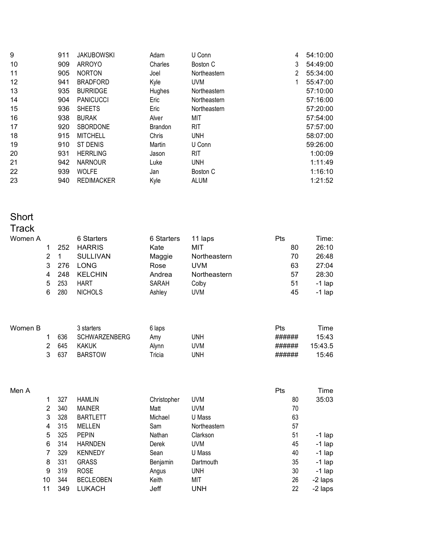| 9  | 911 | <b>JAKUBOWSKI</b> | Adam    | U Conn       | 4                     | 54:10:00 |
|----|-----|-------------------|---------|--------------|-----------------------|----------|
| 10 | 909 | ARROYO            | Charles | Boston C     | 3                     | 54:49:00 |
| 11 | 905 | <b>NORTON</b>     | Joel    | Northeastern | $\mathbf{2}^{\prime}$ | 55:34:00 |
| 12 | 941 | <b>BRADFORD</b>   | Kyle    | <b>UVM</b>   | 1                     | 55:47:00 |
| 13 | 935 | <b>BURRIDGE</b>   | Hughes  | Northeastern |                       | 57:10:00 |
| 14 | 904 | <b>PANICUCCI</b>  | Eric    | Northeastern |                       | 57:16:00 |
| 15 | 936 | <b>SHEETS</b>     | Eric    | Northeastern |                       | 57:20:00 |
| 16 | 938 | <b>BURAK</b>      | Alver   | MIT          |                       | 57:54:00 |
| 17 | 920 | <b>SBORDONE</b>   | Brandon | <b>RIT</b>   |                       | 57:57:00 |
| 18 | 915 | <b>MITCHELL</b>   | Chris   | <b>UNH</b>   |                       | 58:07:00 |
| 19 | 910 | ST DENIS          | Martin  | U Conn       |                       | 59:26:00 |
| 20 | 931 | <b>HERRLING</b>   | Jason   | <b>RIT</b>   |                       | 1:00:09  |
| 21 | 942 | <b>NARNOUR</b>    | Luke    | <b>UNH</b>   |                       | 1:11:49  |
| 22 | 939 | <b>WOLFE</b>      | Jan     | Boston C     |                       | 1:16:10  |
| 23 | 940 | <b>REDIMACKER</b> | Kyle    | ALUM         |                       | 1:21:52  |

## Short

# Track<br>Women

| Women A |   |     | 6 Starters      | 6 Starters | 11 laps      | Pts | Time:    |
|---------|---|-----|-----------------|------------|--------------|-----|----------|
|         |   | 252 | <b>HARRIS</b>   | Kate       | MIT          | 80  | 26:10    |
|         | 2 |     | <b>SULLIVAN</b> | Maggie     | Northeastern | 70  | 26:48    |
|         | 3 | 276 | LONG            | Rose       | <b>UVM</b>   | 63  | 27:04    |
|         | 4 | 248 | <b>KELCHIN</b>  | Andrea     | Northeastern | 57  | 28:30    |
|         | 5 | 253 | HART            | SARAH      | Colby        | 51  | $-1$ lap |
|         | 6 | 280 | <b>NICHOLS</b>  | Ashley     | <b>UVM</b>   | 45  | $-1$ lap |
|         |   |     |                 |            |              |     |          |

| Women B |     | 3 starters           | 6 laps |     | Pts    | Time    |
|---------|-----|----------------------|--------|-----|--------|---------|
|         | 636 | <b>SCHWARZENBERG</b> | Amy    | JNH | ###### | 15:43   |
|         | 645 | <b>KAKUK</b>         | Alvnn  | JVM | ###### | 15:43.5 |
|         | 637 | <b>BARSTOW</b>       | ⊺ricia | JNH | ###### | 15:46   |

| Men A |                |     |                  |             |              | <b>Pts</b> | Time     |
|-------|----------------|-----|------------------|-------------|--------------|------------|----------|
|       | 1              | 327 | <b>HAMLIN</b>    | Christopher | <b>UVM</b>   | 80         | 35:03    |
|       | $\overline{2}$ | 340 | <b>MAINER</b>    | Matt        | <b>UVM</b>   | 70         |          |
|       | 3              | 328 | <b>BARTLETT</b>  | Michael     | U Mass       | 63         |          |
|       | 4              | 315 | MELLEN           | Sam         | Northeastern | 57         |          |
|       | 5              | 325 | <b>PEPIN</b>     | Nathan      | Clarkson     | 51         | -1 lap   |
|       | 6              | 314 | <b>HARNDEN</b>   | Derek       | <b>UVM</b>   | 45         | $-1$ lap |
|       | 7              | 329 | <b>KENNEDY</b>   | Sean        | U Mass       | 40         | $-1$ lap |
|       | 8              | 331 | <b>GRASS</b>     | Benjamin    | Dartmouth    | 35         | $-1$ lap |
|       | 9              | 319 | <b>ROSE</b>      | Angus       | <b>UNH</b>   | 30         | $-1$ lap |
|       | 10             | 344 | <b>BECLEOBEN</b> | Keith       | MIT          | 26         | -2 laps  |
|       | 11             | 349 | <b>LUKACH</b>    | Jeff        | <b>UNH</b>   | 22         | -2 laps  |
|       |                |     |                  |             |              |            |          |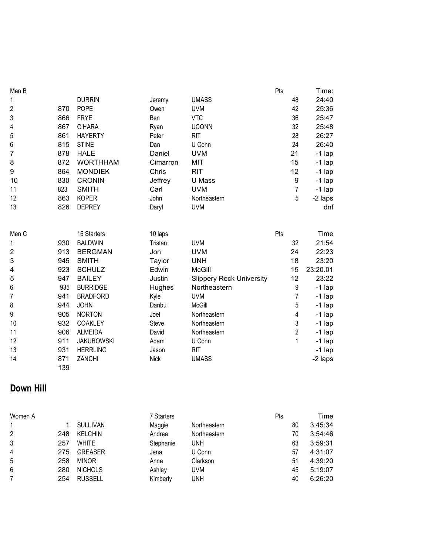| Men B                     |            |                   |          |                                 | Pts              | Time:    |
|---------------------------|------------|-------------------|----------|---------------------------------|------------------|----------|
| 1                         |            | <b>DURRIN</b>     | Jeremy   | <b>UMASS</b>                    | 48               | 24:40    |
| $\overline{\mathbf{c}}$   | 870        | <b>POPE</b>       | Owen     | <b>UVM</b>                      | 42               | 25:36    |
| 3                         | 866        | <b>FRYE</b>       | Ben      | <b>VTC</b>                      | 36               | 25:47    |
| 4                         | 867        | O'HARA            | Ryan     | <b>UCONN</b>                    | 32               | 25:48    |
| 5                         | 861        | <b>HAYERTY</b>    | Peter    | <b>RIT</b>                      | 28               | 26:27    |
| 6                         | 815        | <b>STINE</b>      | Dan      | U Conn                          | 24               | 26:40    |
| $\overline{7}$            | 878        | <b>HALE</b>       | Daniel   | <b>UVM</b>                      | 21               | $-1$ lap |
| 8                         | 872        | <b>WORTHHAM</b>   | Cimarron | MIT                             | 15               | $-1$ lap |
| 9                         | 864        | <b>MONDIEK</b>    | Chris    | <b>RIT</b>                      | 12               | $-1$ lap |
| 10                        | 830        | <b>CRONIN</b>     | Jeffrey  | U Mass                          | $\boldsymbol{9}$ | $-1$ lap |
| 11                        | 823        | <b>SMITH</b>      | Carl     | <b>UVM</b>                      | $\overline{7}$   | $-1$ lap |
| 12                        | 863        | <b>KOPER</b>      | John     | Northeastern                    | 5                | -2 laps  |
| 13                        | 826        | <b>DEPREY</b>     | Daryl    | <b>UVM</b>                      |                  | dnf      |
|                           |            |                   |          |                                 |                  |          |
| Men C                     |            | 16 Starters       | 10 laps  |                                 | Pts              | Time     |
| 1                         | 930        | <b>BALDWIN</b>    | Tristan  | <b>UVM</b>                      | 32               | 21:54    |
| $\overline{\mathbf{c}}$   | 913        | <b>BERGMAN</b>    | Jon      | <b>UVM</b>                      | 24               | 22:23    |
| $\ensuremath{\mathsf{3}}$ | 945        | <b>SMITH</b>      | Taylor   | <b>UNH</b>                      | 18               | 23:20    |
| 4                         | 923        | <b>SCHULZ</b>     | Edwin    | <b>McGill</b>                   | 15               | 23:20.01 |
| 5                         | 947        | <b>BAILEY</b>     | Justin   | <b>Slippery Rock University</b> | 12               | 23:22    |
| 6                         | 935        | <b>BURRIDGE</b>   | Hughes   | Northeastern                    | 9                | $-1$ lap |
| $\overline{7}$            | 941        | <b>BRADFORD</b>   | Kyle     | <b>UVM</b>                      | $\overline{7}$   | $-1$ lap |
| 8                         | 944        | <b>JOHN</b>       | Danbu    | McGill                          | 5                | -1 lap   |
| 9                         | 905        | <b>NORTON</b>     | Joel     | Northeastern                    | 4                | -1 lap   |
| 10                        | 932        | COAKLEY           | Steve    | Northeastern                    | 3                | $-1$ lap |
| 11                        | 906        | <b>ALMEIDA</b>    | David    | Northeastern                    | $\overline{2}$   | $-1$ lap |
| 12                        | 911        | <b>JAKUBOWSKI</b> | Adam     | U Conn                          | 1                | $-1$ lap |
| 13                        | 931        | <b>HERRLING</b>   | Jason    | <b>RIT</b>                      |                  | -1 lap   |
| 14                        | 871<br>139 | ZANCHI            | Nick     | <b>UMASS</b>                    |                  | -2 laps  |
|                           |            |                   |          |                                 |                  |          |

### **Down Hill**

| Women A        |     |                 | 7 Starters |              | Pts | Time    |
|----------------|-----|-----------------|------------|--------------|-----|---------|
| 1              |     | <b>SULLIVAN</b> | Maggie     | Northeastern | 80  | 3:45:34 |
| $\overline{2}$ | 248 | <b>KELCHIN</b>  | Andrea     | Northeastern | 70  | 3:54:46 |
| 3              | 257 | <b>WHITE</b>    | Stephanie  | <b>UNH</b>   | 63  | 3:59:31 |
| 4              | 275 | <b>GREASER</b>  | Jena       | U Conn       | 57  | 4:31:07 |
| 5              | 258 | <b>MINOR</b>    | Anne       | Clarkson     | 51  | 4:39:20 |
| 6              | 280 | <b>NICHOLS</b>  | Ashley     | <b>UVM</b>   | 45  | 5:19:07 |
|                | 254 | <b>RUSSELL</b>  | Kimberly   | <b>UNH</b>   | 40  | 6:26:20 |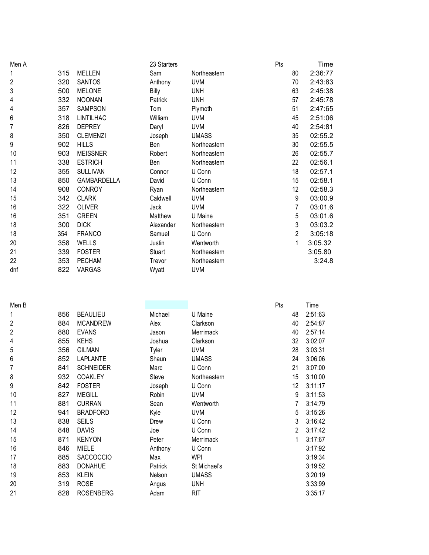| Men A          |     |                  | 23 Starters |              | Pts            | Time    |
|----------------|-----|------------------|-------------|--------------|----------------|---------|
| 1              | 315 | <b>MELLEN</b>    | Sam         | Northeastern | 80             | 2:36:77 |
| $\overline{2}$ | 320 | <b>SANTOS</b>    | Anthony     | <b>UVM</b>   | 70             | 2:43:83 |
| 3              | 500 | <b>MELONE</b>    | Billy       | <b>UNH</b>   | 63             | 2:45:38 |
| 4              | 332 | <b>NOONAN</b>    | Patrick     | <b>UNH</b>   | 57             | 2:45:78 |
| 4              | 357 | <b>SAMPSON</b>   | Tom         | Plymoth      | 51             | 2:47:65 |
| 6              | 318 | <b>LINTILHAC</b> | William     | <b>UVM</b>   | 45             | 2:51:06 |
| 7              | 826 | <b>DEPREY</b>    | Daryl       | <b>UVM</b>   | 40             | 2:54:81 |
| 8              | 350 | <b>CLEMENZI</b>  | Joseph      | <b>UMASS</b> | 35             | 02:55.2 |
| 9              | 902 | <b>HILLS</b>     | Ben         | Northeastern | 30             | 02:55.5 |
| 10             | 903 | <b>MEISSNER</b>  | Robert      | Northeastern | 26             | 02:55.7 |
| 11             | 338 | <b>ESTRICH</b>   | Ben         | Northeastern | 22             | 02:56.1 |
| 12             | 355 | <b>SULLIVAN</b>  | Connor      | U Conn       | 18             | 02:57.1 |
| 13             | 850 | GAMBARDELLA      | David       | U Conn       | 15             | 02:58.1 |
| 14             | 908 | <b>CONROY</b>    | Ryan        | Northeastern | 12             | 02:58.3 |
| 15             | 342 | <b>CLARK</b>     | Caldwell    | <b>UVM</b>   | 9              | 03:00.9 |
| 16             | 322 | <b>OLIVER</b>    | Jack        | <b>UVM</b>   | $\overline{7}$ | 03:01.6 |
| 16             | 351 | <b>GREEN</b>     | Matthew     | U Maine      | 5              | 03:01.6 |
| 18             | 300 | <b>DICK</b>      | Alexander   | Northeastern | 3              | 03:03.2 |
| 18             | 354 | <b>FRANCO</b>    | Samuel      | U Conn       | $\overline{2}$ | 3:05:18 |
| 20             | 358 | <b>WELLS</b>     | Justin      | Wentworth    | 1              | 3:05.32 |
| 21             | 339 | <b>FOSTER</b>    | Stuart      | Northeastern |                | 3:05.80 |
| 22             | 353 | <b>PECHAM</b>    | Trevor      | Northeastern |                | 3:24.8  |
| dnf            | 822 | VARGAS           | Wyatt       | <b>UVM</b>   |                |         |

| I<br>N | c |  |
|--------|---|--|
|        |   |  |

|     |                  |         |              | Pts | Time    |
|-----|------------------|---------|--------------|-----|---------|
| 856 | <b>BEAULIEU</b>  | Michael | U Maine      | 48  | 2:51:63 |
| 884 | <b>MCANDREW</b>  | Alex    | Clarkson     | 40  | 2:54:87 |
| 880 | <b>EVANS</b>     | Jason   | Merrimack    | 40  | 2:57:14 |
| 855 | <b>KEHS</b>      | Joshua  | Clarkson     | 32  | 3:02:07 |
| 356 | <b>GILMAN</b>    | Tyler   | <b>UVM</b>   | 28  | 3:03:31 |
| 852 | <b>LAPLANTE</b>  | Shaun   | <b>UMASS</b> | 24  | 3:06:06 |
| 841 | <b>SCHNEIDER</b> | Marc    | U Conn       | 21  | 3:07:00 |
| 932 | <b>COAKLEY</b>   | Steve   | Northeastern | 15  | 3:10:00 |
| 842 | <b>FOSTER</b>    | Joseph  | U Conn       | 12  | 3:11:17 |
| 827 | <b>MEGILL</b>    | Robin   | <b>UVM</b>   | 9   | 3:11:53 |
| 881 | <b>CURRAN</b>    | Sean    | Wentworth    | 7   | 3:14:79 |
| 941 | <b>BRADFORD</b>  | Kyle    | <b>UVM</b>   | 5   | 3:15:26 |
| 838 | <b>SEILS</b>     | Drew    | U Conn       | 3   | 3:16:42 |
| 848 | <b>DAVIS</b>     | Joe     | U Conn       | 2   | 3:17:42 |
| 871 | <b>KENYON</b>    | Peter   | Merrimack    | 1   | 3:17:67 |
| 846 | MIELE            | Anthony | U Conn       |     | 3:17:92 |
| 885 | <b>SACCOCCIO</b> | Max     | <b>WPI</b>   |     | 3:19:34 |
| 883 | <b>DONAHUE</b>   | Patrick | St Michael's |     | 3:19:52 |
| 853 | <b>KLEIN</b>     | Nelson  | <b>UMASS</b> |     | 3:20:19 |
| 319 | <b>ROSE</b>      | Angus   | <b>UNH</b>   |     | 3:33:99 |
| 828 | <b>ROSENBERG</b> | Adam    | <b>RIT</b>   |     | 3:35:17 |
|     |                  |         |              |     |         |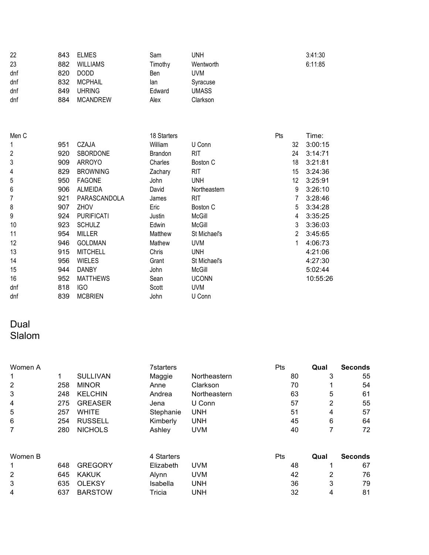| 22  | 843 | <b>ELMES</b>    | Sam     | UNH       | 3:41:30 |
|-----|-----|-----------------|---------|-----------|---------|
| 23  | 882 | <b>WILLIAMS</b> | Timothy | Wentworth | 6:11:85 |
| dnf | 820 | <b>DODD</b>     | Ben     | UVM       |         |
| dnf | 832 | <b>MCPHAIL</b>  | lan     | Syracuse  |         |
| dnf | 849 | <b>UHRING</b>   | Edward  | UMASS     |         |
| dnf | 884 | <b>MCANDREW</b> | Alex    | Clarkson  |         |

| Men C          |     |                   | 18 Starters |              | Pts | Time:         |
|----------------|-----|-------------------|-------------|--------------|-----|---------------|
| 1              | 951 | CZAJA             | William     | U Conn       | 32  | 3:00:15       |
| $\overline{2}$ | 920 | <b>SBORDONE</b>   | Brandon     | RIT.         | 24  | 3:14:71       |
| 3              | 909 | <b>ARROYO</b>     | Charles     | Boston C     |     | 3:21:81<br>18 |
| 4              | 829 | <b>BROWNING</b>   | Zachary     | <b>RIT</b>   |     | 15<br>3:24:36 |
| 5              | 950 | <b>FAGONE</b>     | John        | <b>UNH</b>   |     | 12<br>3:25:91 |
| 6              | 906 | ALMEIDA           | David       | Northeastern |     | 9<br>3:26:10  |
| 7              | 921 | PARASCANDOLA      | James       | <b>RIT</b>   |     | 3:28:46       |
| 8              | 907 | <b>ZHOV</b>       | Eric        | Boston C     |     | 5<br>3:34:28  |
| 9              | 924 | <b>PURIFICATI</b> | Justin      | McGill       |     | 3:35:25<br>4  |
| 10             | 923 | <b>SCHULZ</b>     | Edwin       | McGill       |     | 3<br>3:36:03  |
| 11             | 954 | <b>MILLER</b>     | Matthew     | St Michael's |     | 2<br>3:45:65  |
| 12             | 946 | <b>GOLDMAN</b>    | Mathew      | <b>UVM</b>   |     | 4:06:73       |
| 13             | 915 | <b>MITCHELL</b>   | Chris       | <b>UNH</b>   |     | 4:21:06       |
| 14             | 956 | <b>WIELES</b>     | Grant       | St Michael's |     | 4:27:30       |
| 15             | 944 | <b>DANBY</b>      | John        | McGill       |     | 5:02:44       |
| 16             | 952 | <b>MATTHEWS</b>   | Sean        | <b>UCONN</b> |     | 10:55:26      |
| dnf            | 818 | <b>IGO</b>        | Scott       | <b>UVM</b>   |     |               |
| dnf            | 839 | <b>MCBRIEN</b>    | John        | U Conn       |     |               |

#### Dual Slalom

| Women A |     |                 | <b>7starters</b> |              | <b>Pts</b> | Qual | <b>Seconds</b> |
|---------|-----|-----------------|------------------|--------------|------------|------|----------------|
|         | 1   | <b>SULLIVAN</b> | Maggie           | Northeastern | 80         | 3    | 55             |
| 2       | 258 | <b>MINOR</b>    | Anne             | Clarkson     | 70         |      | 54             |
| 3       | 248 | <b>KELCHIN</b>  | Andrea           | Northeastern | 63         | 5    | 61             |
| 4       | 275 | <b>GREASER</b>  | Jena             | U Conn       | 57         | 2    | 55             |
| 5       | 257 | <b>WHITE</b>    | Stephanie        | <b>UNH</b>   | 51         | 4    | 57             |
| 6       | 254 | <b>RUSSELL</b>  | Kimberly         | <b>UNH</b>   | 45         | 6    | 64             |
| 7       | 280 | <b>NICHOLS</b>  | Ashley           | <b>UVM</b>   | 40         | 7    | 72             |
| Women B |     |                 | 4 Starters       |              | <b>Pts</b> | Qual | <b>Seconds</b> |
|         | 648 | <b>GREGORY</b>  | Elizabeth        | <b>UVM</b>   | 48         |      | 67             |
| 2       | 645 | <b>KAKUK</b>    | Alynn            | <b>UVM</b>   | 42         | 2    | 76             |
| 3       | 635 | <b>OLEKSY</b>   | Isabella         | <b>UNH</b>   | 36         | 3    | 79             |
| 4       | 637 | <b>BARSTOW</b>  | Tricia           | <b>UNH</b>   | 32         | 4    | 81             |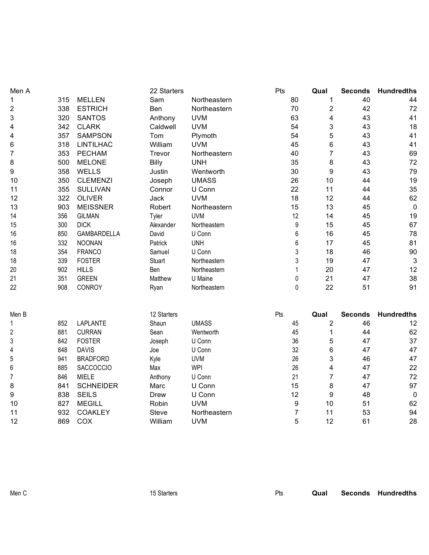| Men A          |     |                    | 22 Starters  |              | Pts              | Qual                    | <b>Seconds</b> | <b>Hundredths</b> |
|----------------|-----|--------------------|--------------|--------------|------------------|-------------------------|----------------|-------------------|
| 1              | 315 | <b>MELLEN</b>      | Sam          | Northeastern | 80               | 1                       | 40             | 44                |
| 2              | 338 | <b>ESTRICH</b>     | Ben          | Northeastern | 70               | $\overline{\mathbf{c}}$ | 42             | 72                |
| 3              | 320 | <b>SANTOS</b>      | Anthony      | <b>UVM</b>   | 63               | 4                       | 43             | 41                |
| 4              | 342 | <b>CLARK</b>       | Caldwell     | <b>UVM</b>   | 54               | 3                       | 43             | 18                |
| 4              | 357 | <b>SAMPSON</b>     | Tom          | Plymoth      | 54               | 5                       | 43             | 41                |
| 6              | 318 | <b>LINTILHAC</b>   | William      | <b>UVM</b>   | 45               | 6                       | 43             | 41                |
| 7              | 353 | <b>PECHAM</b>      | Trevor       | Northeastern | 40               | 7                       | 43             | 69                |
| 8              | 500 | <b>MELONE</b>      | Billy        | <b>UNH</b>   | 35               | 8                       | 43             | 72                |
| 9              | 358 | <b>WELLS</b>       | Justin       | Wentworth    | 30               | 9                       | 43             | 79                |
| 10             | 350 | <b>CLEMENZI</b>    | Joseph       | <b>UMASS</b> | 26               | 10                      | 44             | 19                |
| 11             | 355 | <b>SULLIVAN</b>    | Connor       | U Conn       | 22               | 11                      | 44             | 35                |
| 12             | 322 | <b>OLIVER</b>      | Jack         | <b>UVM</b>   | 18               | 12                      | 44             | 62                |
| 13             | 903 | <b>MEISSNER</b>    | Robert       | Northeastern | 15               | 13                      | 45             | $\mathbf 0$       |
| 14             | 356 | <b>GILMAN</b>      | Tyler        | <b>UVM</b>   | 12               | 14                      | 45             | 19                |
| 15             | 300 | <b>DICK</b>        | Alexander    | Northeastern | 9                | 15                      | 45             | 67                |
| 16             | 850 | <b>GAMBARDELLA</b> | David        | U Conn       | 6                | 16                      | 45             | 78                |
| 16             | 332 | <b>NOONAN</b>      | Patrick      | <b>UNH</b>   | 6                | 17                      | 45             | 81                |
| 18             | 354 | <b>FRANCO</b>      | Samuel       | U Conn       | 3                | 18                      | 46             | 90                |
| 18             | 339 | <b>FOSTER</b>      | Stuart       | Northeastern | 3                | 19                      | 47             | 3                 |
| 20             | 902 | <b>HILLS</b>       | Ben          | Northeastern | $\mathbf{1}$     | 20                      | 47             | 12                |
| 21             | 351 | <b>GREEN</b>       | Matthew      | U Maine      | 0                | 21                      | 47             | 38                |
| 22             | 908 | CONROY             | Ryan         | Northeastern | $\mathbf 0$      | 22                      | 51             | 91                |
| Men B          |     |                    | 12 Starters  |              | Pts              | Qual                    | <b>Seconds</b> | <b>Hundredths</b> |
| 1              | 852 | LAPLANTE           | Shaun        | <b>UMASS</b> | 45               | $\overline{2}$          | 46             | 12                |
| $\overline{c}$ | 881 | <b>CURRAN</b>      | Sean         | Wentworth    | 45               | 1                       | 44             | 62                |
| 3              | 842 | <b>FOSTER</b>      | Joseph       | U Conn       | 36               | 5                       | 47             | 37                |
| 4              | 848 | <b>DAVIS</b>       | Joe          | U Conn       | 32               | 6                       | 47             | 47                |
| 5              | 941 | <b>BRADFORD</b>    | Kyle         | <b>UVM</b>   | 26               | 3                       | 46             | 47                |
| 6              | 885 | SACCOCCIO          | Max          | <b>WPI</b>   | 26               | 4                       | 47             | 22                |
| $\overline{7}$ | 846 | <b>MIELE</b>       | Anthony      | U Conn       | 21               | $\overline{7}$          | 47             | 72                |
| 8              | 841 | <b>SCHNEIDER</b>   | Marc         | U Conn       | 15               | 8                       | 47             | 97                |
| 9              | 838 | <b>SEILS</b>       | <b>Drew</b>  | U Conn       | 12               | 9                       | 48             | $\pmb{0}$         |
| 10             | 827 | <b>MEGILL</b>      | Robin        | <b>UVM</b>   | $\boldsymbol{9}$ | 10                      | 51             | 62                |
| 11             | 932 | <b>COAKLEY</b>     | <b>Steve</b> | Northeastern | $\overline{7}$   | 11                      | 53             | 94                |
| 12             | 869 | COX                | William      | <b>UVM</b>   | 5                | 12                      | 61             | 28                |

Men C **15 Starters** 15 Starters **Pts** Qual Seconds Hundredths